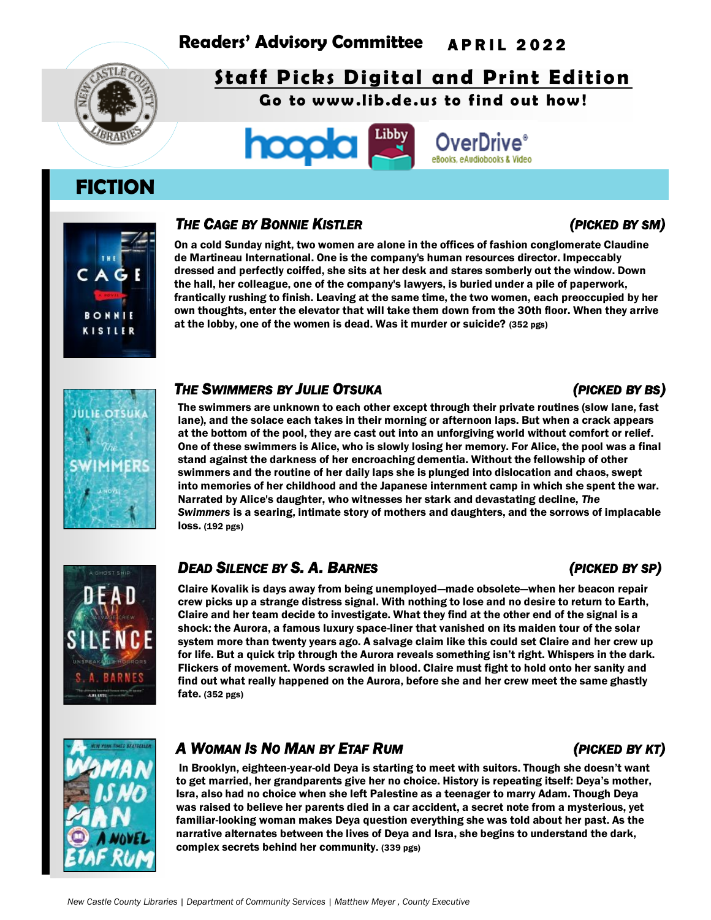# **Readers' Advisory Committee** A P R I L 2 0 2 2



# **Staff Picks Digital and Print Edition**

Go to www.lib.de.us to find out how!



# **FICTION**



## *THE CAGE BY BONNIE KISTLER (PICKED BY SM)*

On a cold Sunday night, two women are alone in the offices of fashion conglomerate Claudine de Martineau International. One is the company's human resources director. Impeccably dressed and perfectly coiffed, she sits at her desk and stares somberly out the window. Down the hall, her colleague, one of the company's lawyers, is buried under a pile of paperwork, frantically rushing to finish. Leaving at the same time, the two women, each preoccupied by her own thoughts, enter the elevator that will take them down from the 30th floor. When they arrive at the lobby, one of the women is dead. Was it murder or suicide? (352 pgs)

# **JULIE OTSUKA**

### *THE SWIMMERS BY JULIE OTSUKA (PICKED BY BS)*

The swimmers are unknown to each other except through their private routines (slow lane, fast lane), and the solace each takes in their morning or afternoon laps. But when a crack appears at the bottom of the pool, they are cast out into an unforgiving world without comfort or relief. One of these swimmers is Alice, who is slowly losing her memory. For Alice, the pool was a final stand against the darkness of her encroaching dementia. Without the fellowship of other swimmers and the routine of her daily laps she is plunged into dislocation and chaos, swept into memories of her childhood and the Japanese internment camp in which she spent the war. Narrated by Alice's daughter, who witnesses her stark and devastating decline, *The Swimmers* is a searing, intimate story of mothers and daughters, and the sorrows of implacable loss. (192 pgs)



## *DEAD SILENCE BY S. A. BARNES (PICKED BY SP)*

Claire Kovalik is days away from being unemployed—made obsolete—when her beacon repair crew picks up a strange distress signal. With nothing to lose and no desire to return to Earth, Claire and her team decide to investigate. What they find at the other end of the signal is a shock: the Aurora, a famous luxury space-liner that vanished on its maiden tour of the solar system more than twenty years ago. A salvage claim like this could set Claire and her crew up for life. But a quick trip through the Aurora reveals something isn't right. Whispers in the dark. Flickers of movement. Words scrawled in blood. Claire must fight to hold onto her sanity and find out what really happened on the Aurora, before she and her crew meet the same ghastly fate. (352 pgs)



## *A WOMAN IS NO MAN BY ETAF RUM (PICKED BY KT)*

In Brooklyn, eighteen-year-old Deya is starting to meet with suitors. Though she doesn't want to get married, her grandparents give her no choice. History is repeating itself: Deya's mother, Isra, also had no choice when she left Palestine as a teenager to marry Adam. Though Deya was raised to believe her parents died in a car accident, a secret note from a mysterious, yet familiar-looking woman makes Deya question everything she was told about her past. As the narrative alternates between the lives of Deya and Isra, she begins to understand the dark, complex secrets behind her community. (339 pgs)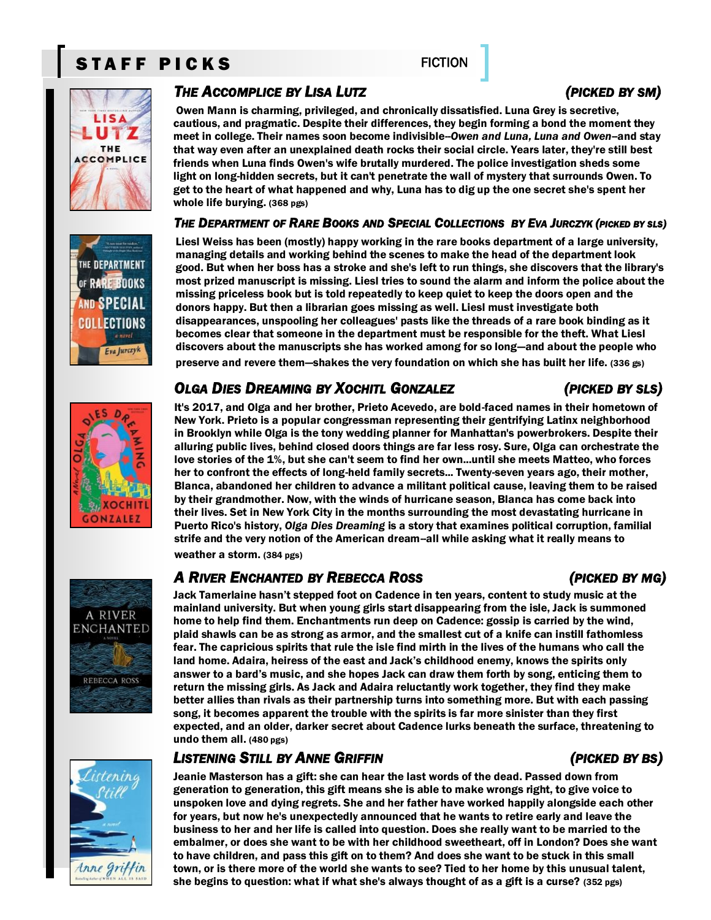# STAFF PICKS FICTION



## *THE ACCOMPLICE BY LISA LUTZ (PICKED BY SM)*

Owen Mann is charming, privileged, and chronically dissatisfied. Luna Grey is secretive, cautious, and pragmatic. Despite their differences, they begin forming a bond the moment they meet in college. Their names soon become indivisible-Owen and Luna, Luna and Owen-and stay that way even after an unexplained death rocks their social circle. Years later, they're still best friends when Luna finds Owen's wife brutally murdered. The police investigation sheds some light on long-hidden secrets, but it can't penetrate the wall of mystery that surrounds Owen. To get to the heart of what happened and why, Luna has to dig up the one secret she's spent her whole life burying. (368 pgs)

### THE DEPARTMENT OF RARE BOOKS AND SPECIAL COLLECTIONS BY EVA JURCZYK (PICKED BY SLS)

Liesl Weiss has been (mostly) happy working in the rare books department of a large university, managing details and working behind the scenes to make the head of the department look good. But when her boss has a stroke and she's left to run things, she discovers that the library's most prized manuscript is missing. Liesl tries to sound the alarm and inform the police about the missing priceless book but is told repeatedly to keep quiet to keep the doors open and the donors happy. But then a librarian goes missing as well. Liesl must investigate both disappearances, unspooling her colleagues' pasts like the threads of a rare book binding as it becomes clear that someone in the department must be responsible for the theft. What Liesl discovers about the manuscripts she has worked among for so long—and about the people who preserve and revere them—shakes the very foundation on which she has built her life. (336 gs)

## *OLGA DIES DREAMING BY XOCHITL GONZALEZ (PICKED BY SLS)*

It's 2017, and Olga and her brother, Prieto Acevedo, are bold-faced names in their hometown of New York. Prieto is a popular congressman representing their gentrifying Latinx neighborhood in Brooklyn while Olga is the tony wedding planner for Manhattan's powerbrokers. Despite their alluring public lives, behind closed doors things are far less rosy. Sure, Olga can orchestrate the love stories of the 1%, but she can't seem to find her own...until she meets Matteo, who forces her to confront the effects of long-held family secrets... Twenty-seven years ago, their mother, Blanca, abandoned her children to advance a militant political cause, leaving them to be raised by their grandmother. Now, with the winds of hurricane season, Blanca has come back into their lives. Set in New York City in the months surrounding the most devastating hurricane in Puerto Rico's history, *Olga Dies Dreaming* is a story that examines political corruption, familial strife and the very notion of the American dream--all while asking what it really means to weather a storm. (384 pgs)

## *A RIVER ENCHANTED BY REBECCA ROSS (PICKED BY MG)*

Jack Tamerlaine hasn't stepped foot on Cadence in ten years, content to study music at the mainland university. But when young girls start disappearing from the isle, Jack is summoned home to help find them. Enchantments run deep on Cadence: gossip is carried by the wind, plaid shawls can be as strong as armor, and the smallest cut of a knife can instill fathomless fear. The capricious spirits that rule the isle find mirth in the lives of the humans who call the land home. Adaira, heiress of the east and Jack's childhood enemy, knows the spirits only answer to a bard's music, and she hopes Jack can draw them forth by song, enticing them to return the missing girls. As Jack and Adaira reluctantly work together, they find they make better allies than rivals as their partnership turns into something more. But with each passing song, it becomes apparent the trouble with the spirits is far more sinister than they first expected, and an older, darker secret about Cadence lurks beneath the surface, threatening to undo them all. (480 pgs)

## *LISTENING STILL BY ANNE GRIFFIN (PICKED BY BS)*

Jeanie Masterson has a gift: she can hear the last words of the dead. Passed down from generation to generation, this gift means she is able to make wrongs right, to give voice to unspoken love and dying regrets. She and her father have worked happily alongside each other for years, but now he's unexpectedly announced that he wants to retire early and leave the business to her and her life is called into question. Does she really want to be married to the embalmer, or does she want to be with her childhood sweetheart, off in London? Does she want to have children, and pass this gift on to them? And does she want to be stuck in this small town, or is there more of the world she wants to see? Tied to her home by this unusual talent, she begins to question: what if what she's always thought of as a gift is a curse? (352 pgs)





**A RIVER ENCHANTED** 

**REBECCA ROSS** 





SPECIA COLLECTIONS a novel Eva Jurczyk

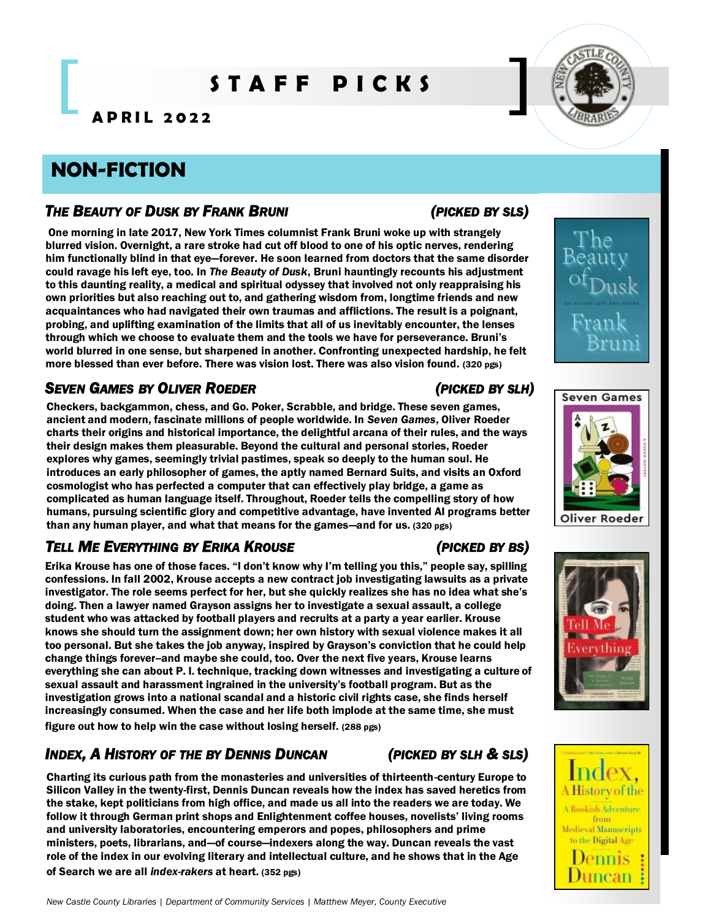# **S T A F F P I C K S**

**A P R I L 2 0 2 2** 

# **NON-FICTION**

## *THE BEAUTY OF DUSK BY FRANK BRUNI (PICKED BY SLS)*

One morning in late 2017, New York Times columnist Frank Bruni woke up with strangely blurred vision. Overnight, a rare stroke had cut off blood to one of his optic nerves, rendering him functionally blind in that eye—forever. He soon learned from doctors that the same disorder could ravage his left eye, too. In *The Beauty of Dusk*, Bruni hauntingly recounts his adjustment to this daunting reality, a medical and spiritual odyssey that involved not only reappraising his own priorities but also reaching out to, and gathering wisdom from, longtime friends and new acquaintances who had navigated their own traumas and afflictions. The result is a poignant, probing, and uplifting examination of the limits that all of us inevitably encounter, the lenses through which we choose to evaluate them and the tools we have for perseverance. Bruni's world blurred in one sense, but sharpened in another. Confronting unexpected hardship, he felt more blessed than ever before. There was vision lost. There was also vision found. (320 pgs)

## *SEVEN GAMES BY OLIVER ROEDER (PICKED BY SLH)*

Checkers, backgammon, chess, and Go. Poker, Scrabble, and bridge. These seven games, ancient and modern, fascinate millions of people worldwide. In *Seven Games*, Oliver Roeder charts their origins and historical importance, the delightful arcana of their rules, and the ways their design makes them pleasurable. Beyond the cultural and personal stories, Roeder explores why games, seemingly trivial pastimes, speak so deeply to the human soul. He introduces an early philosopher of games, the aptly named Bernard Suits, and visits an Oxford cosmologist who has perfected a computer that can effectively play bridge, a game as complicated as human language itself. Throughout, Roeder tells the compelling story of how humans, pursuing scientific glory and competitive advantage, have invented AI programs better than any human player, and what that means for the games—and for us. (320 pgs)

# *TELL ME EVERYTHING BY ERIKA KROUSE (PICKED BY BS)*

Erika Krouse has one of those faces. "I don't know why I'm telling you this," people say, spilling confessions. In fall 2002, Krouse accepts a new contract job investigating lawsuits as a private investigator. The role seems perfect for her, but she quickly realizes she has no idea what she's doing. Then a lawyer named Grayson assigns her to investigate a sexual assault, a college student who was attacked by football players and recruits at a party a year earlier. Krouse knows she should turn the assignment down; her own history with sexual violence makes it all too personal. But she takes the job anyway, inspired by Grayson's conviction that he could help change things forever--and maybe she could, too. Over the next five years, Krouse learns everything she can about P. I. technique, tracking down witnesses and investigating a culture of sexual assault and harassment ingrained in the university's football program. But as the investigation grows into a national scandal and a historic civil rights case, she finds herself increasingly consumed. When the case and her life both implode at the same time, she must figure out how to help win the case without losing herself. (288 pgs)

## *INDEX, A HISTORY OF THE BY DENNIS DUNCAN (PICKED BY SLH & SLS)*

Charting its curious path from the monasteries and universities of thirteenth-century Europe to Silicon Valley in the twenty-first, Dennis Duncan reveals how the index has saved heretics from the stake, kept politicians from high office, and made us all into the readers we are today. We follow it through German print shops and Enlightenment coffee houses, novelists' living rooms and university laboratories, encountering emperors and popes, philosophers and prime ministers, poets, librarians, and—of course—indexers along the way. Duncan reveals the vast role of the index in our evolving literary and intellectual culture, and he shows that in the Age

of Search we are all *index-rakers* at heart. (352 pgs)